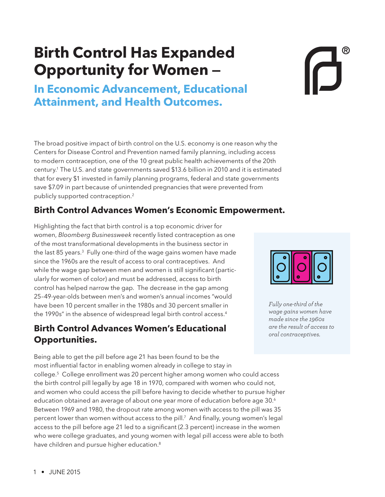# **Birth Control Has Expanded Opportunity for Women —**

**In Economic Advancement, Educational Attainment, and Health Outcomes.** 

The broad positive impact of birth control on the U.S. economy is one reason why the Centers for Disease Control and Prevention named family planning, including access to modern contraception, one of the 10 great public health achievements of the 20th century.1 The U.S. and state governments saved \$13.6 billion in 2010 and it is estimated that for every \$1 invested in family planning programs, federal and state governments save \$7.09 in part because of unintended pregnancies that were prevented from publicly supported contraception.<sup>2</sup>

## **Birth Control Advances Women's Economic Empowerment.**

Highlighting the fact that birth control is a top economic driver for women, *Bloomberg Businessweek* recently listed contraception as one of the most transformational developments in the business sector in the last 85 years.<sup>3</sup> Fully one-third of the wage gains women have made since the 1960s are the result of access to oral contraceptives. And while the wage gap between men and women is still significant (particularly for women of color) and must be addressed, access to birth control has helped narrow the gap. The decrease in the gap among 25–49-year-olds between men's and women's annual incomes "would have been 10 percent smaller in the 1980s and 30 percent smaller in the 1990s" in the absence of widespread legal birth control access.<sup>4</sup>

## **Birth Control Advances Women's Educational Opportunities.**

Being able to get the pill before age 21 has been found to be the most influential factor in enabling women already in college to stay in college.5 College enrollment was 20 percent higher among women who could access the birth control pill legally by age 18 in 1970, compared with women who could not, and women who could access the pill before having to decide whether to pursue higher education obtained an average of about one year more of education before age 30.6 Between 1969 and 1980, the dropout rate among women with access to the pill was 35 percent lower than women without access to the pill.7 And finally, young women's legal access to the pill before age 21 led to a significant (2.3 percent) increase in the women who were college graduates, and young women with legal pill access were able to both have children and pursue higher education.<sup>8</sup>



*Fully one-third of the wage gains women have made since the 1960s are the result of access to oral contraceptives.*

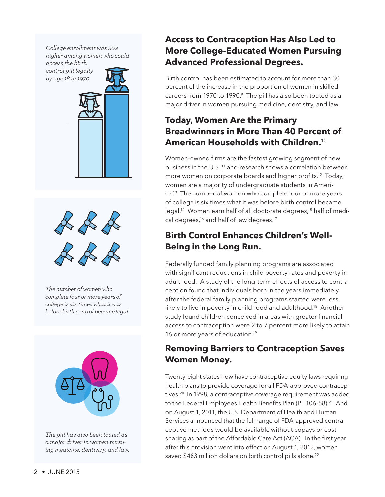*College enrollment was 20% higher among women who could* 

*access the birth control pill legally by age 18 in 1970.* 





*The number of women who complete four or more years of college is six times what it was before birth control became legal.*



*The pill has also been touted as a major driver in women pursuing medicine, dentistry, and law.* 

## **Access to Contraception Has Also Led to More College-Educated Women Pursuing Advanced Professional Degrees.**

Birth control has been estimated to account for more than 30 percent of the increase in the proportion of women in skilled careers from 1970 to 1990.<sup>9</sup> The pill has also been touted as a major driver in women pursuing medicine, dentistry, and law.

# **Today, Women Are the Primary Breadwinners in More Than 40 Percent of American Households with Children.**<sup>10</sup>

Women-owned firms are the fastest growing segment of new business in the U.S.,<sup>11</sup> and research shows a correlation between more women on corporate boards and higher profits.<sup>12</sup> Today, women are a majority of undergraduate students in America.<sup>13</sup> The number of women who complete four or more years of college is six times what it was before birth control became legal.<sup>14</sup> Women earn half of all doctorate degrees,<sup>15</sup> half of medical degrees,<sup>16</sup> and half of law degrees.<sup>17</sup>

# **Birth Control Enhances Children's Well-Being in the Long Run.**

Federally funded family planning programs are associated with significant reductions in child poverty rates and poverty in adulthood. A study of the long-term effects of access to contraception found that individuals born in the years immediately after the federal family planning programs started were less likely to live in poverty in childhood and adulthood.<sup>18</sup> Another study found children conceived in areas with greater financial access to contraception were 2 to 7 percent more likely to attain 16 or more years of education.<sup>19</sup>

# **Removing Barriers to Contraception Saves Women Money.**

Twenty-eight states now have contraceptive equity laws requiring health plans to provide coverage for all FDA-approved contraceptives.<sup>20</sup> In 1998, a contraceptive coverage requirement was added to the Federal Employees Health Benefits Plan (PL 106-58).<sup>21</sup> And on August 1, 2011, the U.S. Department of Health and Human Services announced that the full range of FDA-approved contraceptive methods would be available without copays or cost sharing as part of the Affordable Care Act (ACA). In the first year after this provision went into effect on August 1, 2012, women saved \$483 million dollars on birth control pills alone.<sup>22</sup>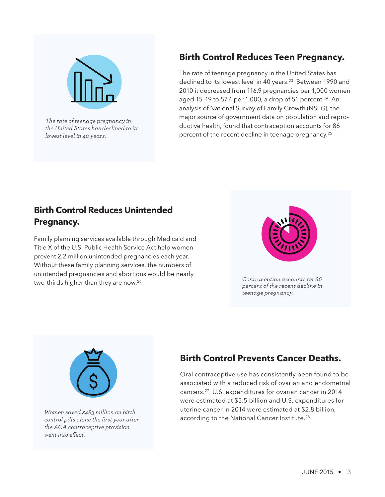

*The rate of teenage pregnancy in the United States has declined to its lowest level in 40 years.*

# **Birth Control Reduces Teen Pregnancy.**

The rate of teenage pregnancy in the United States has declined to its lowest level in 40 years.<sup>23</sup> Between 1990 and 2010 it decreased from 116.9 pregnancies per 1,000 women aged 15-19 to 57.4 per 1,000, a drop of 51 percent.<sup>24</sup> An analysis of National Survey of Family Growth (NSFG), the major source of government data on population and reproductive health, found that contraception accounts for 86 percent of the recent decline in teenage pregnancy.<sup>25</sup>

## **Birth Control Reduces Unintended Pregnancy.**

Family planning services available through Medicaid and Title X of the U.S. Public Health Service Act help women prevent 2.2 million unintended pregnancies each year. Without these family planning services, the numbers of unintended pregnancies and abortions would be nearly two-thirds higher than they are now.<sup>26</sup>



*Contraception accounts for 86 percent of the recent decline in teenage pregnancy.*



*Women saved \$483 million on birth control pills alone the first year after the ACA contraceptive provision went into effect.*

# **Birth Control Prevents Cancer Deaths.**

Oral contraceptive use has consistently been found to be associated with a reduced risk of ovarian and endometrial cancers.27 U.S. expenditures for ovarian cancer in 2014 were estimated at \$5.5 billion and U.S. expenditures for uterine cancer in 2014 were estimated at \$2.8 billion, according to the National Cancer Institute.<sup>28</sup>